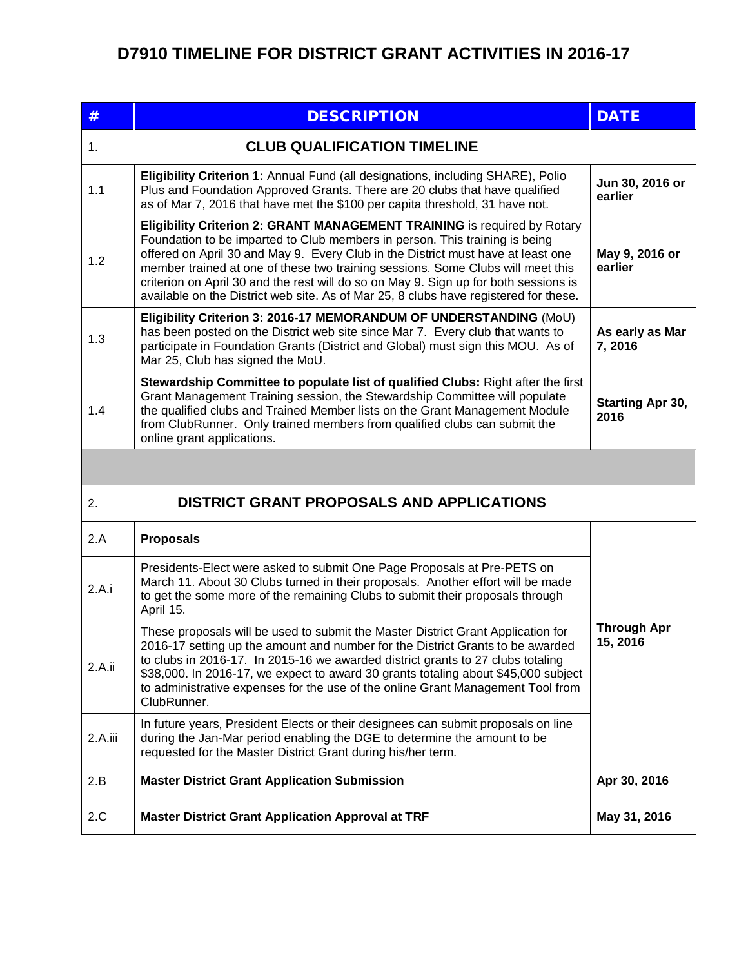## **D7910 TIMELINE FOR DISTRICT GRANT ACTIVITIES IN 2016-17**

| #                                               | <b>DESCRIPTION</b>                                                                                                                                                                                                                                                                                                                                                                                                                                                                                             | <b>DATE</b>                    |  |
|-------------------------------------------------|----------------------------------------------------------------------------------------------------------------------------------------------------------------------------------------------------------------------------------------------------------------------------------------------------------------------------------------------------------------------------------------------------------------------------------------------------------------------------------------------------------------|--------------------------------|--|
| 1.                                              | <b>CLUB QUALIFICATION TIMELINE</b>                                                                                                                                                                                                                                                                                                                                                                                                                                                                             |                                |  |
| 1.1                                             | Eligibility Criterion 1: Annual Fund (all designations, including SHARE), Polio<br>Plus and Foundation Approved Grants. There are 20 clubs that have qualified<br>as of Mar 7, 2016 that have met the \$100 per capita threshold, 31 have not.                                                                                                                                                                                                                                                                 | Jun 30, 2016 or<br>earlier     |  |
| 1.2                                             | Eligibility Criterion 2: GRANT MANAGEMENT TRAINING is required by Rotary<br>Foundation to be imparted to Club members in person. This training is being<br>offered on April 30 and May 9. Every Club in the District must have at least one<br>member trained at one of these two training sessions. Some Clubs will meet this<br>criterion on April 30 and the rest will do so on May 9. Sign up for both sessions is<br>available on the District web site. As of Mar 25, 8 clubs have registered for these. | May 9, 2016 or<br>earlier      |  |
| 1.3                                             | Eligibility Criterion 3: 2016-17 MEMORANDUM OF UNDERSTANDING (MoU)<br>has been posted on the District web site since Mar 7. Every club that wants to<br>participate in Foundation Grants (District and Global) must sign this MOU. As of<br>Mar 25, Club has signed the MoU.                                                                                                                                                                                                                                   | As early as Mar<br>7,2016      |  |
| 1.4                                             | Stewardship Committee to populate list of qualified Clubs: Right after the first<br>Grant Management Training session, the Stewardship Committee will populate<br>the qualified clubs and Trained Member lists on the Grant Management Module<br>from ClubRunner. Only trained members from qualified clubs can submit the<br>online grant applications.                                                                                                                                                       | Starting Apr 30,<br>2016       |  |
|                                                 |                                                                                                                                                                                                                                                                                                                                                                                                                                                                                                                |                                |  |
| DISTRICT GRANT PROPOSALS AND APPLICATIONS<br>2. |                                                                                                                                                                                                                                                                                                                                                                                                                                                                                                                |                                |  |
| 2.A                                             | <b>Proposals</b>                                                                                                                                                                                                                                                                                                                                                                                                                                                                                               |                                |  |
| 2.A.i                                           | Presidents-Elect were asked to submit One Page Proposals at Pre-PETS on<br>March 11. About 30 Clubs turned in their proposals. Another effort will be made<br>to get the some more of the remaining Clubs to submit their proposals through<br>April 15.                                                                                                                                                                                                                                                       |                                |  |
| 2.A.ii                                          | These proposals will be used to submit the Master District Grant Application for<br>2016-17 setting up the amount and number for the District Grants to be awarded<br>to clubs in 2016-17. In 2015-16 we awarded district grants to 27 clubs totaling<br>\$38,000. In 2016-17, we expect to award 30 grants totaling about \$45,000 subject<br>to administrative expenses for the use of the online Grant Management Tool from<br>ClubRunner.                                                                  | <b>Through Apr</b><br>15, 2016 |  |
| 2.A.iii                                         | In future years, President Elects or their designees can submit proposals on line<br>during the Jan-Mar period enabling the DGE to determine the amount to be<br>requested for the Master District Grant during his/her term.                                                                                                                                                                                                                                                                                  |                                |  |
| 2.B                                             | <b>Master District Grant Application Submission</b>                                                                                                                                                                                                                                                                                                                                                                                                                                                            | Apr 30, 2016                   |  |
| 2.C                                             | <b>Master District Grant Application Approval at TRF</b>                                                                                                                                                                                                                                                                                                                                                                                                                                                       | May 31, 2016                   |  |